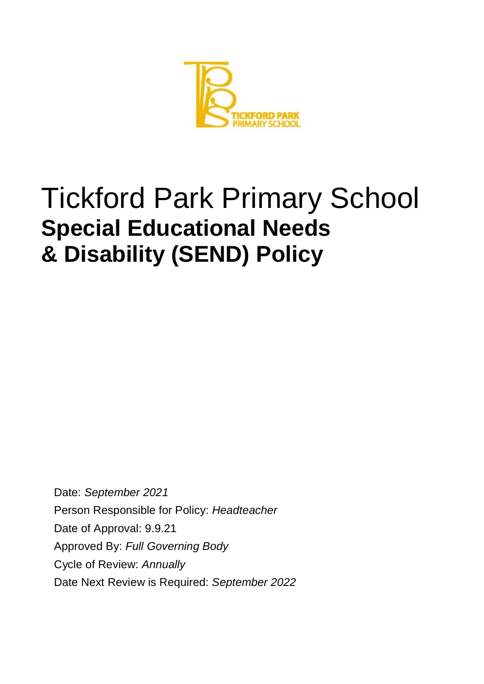

# Tickford Park Primary School **Special Educational Needs & Disability (SEND) Policy**

Date: *September 2021* Person Responsible for Policy: *Headteacher* Date of Approval: 9.9.21 Approved By: *Full Governing Body* Cycle of Review: *Annually* Date Next Review is Required: *September 2022*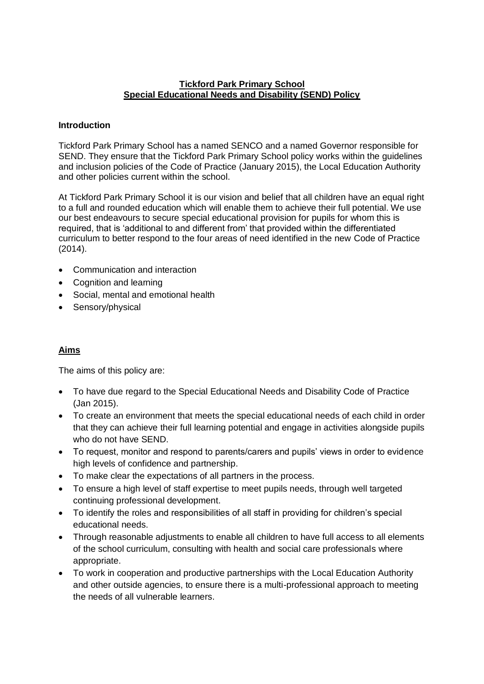#### **Tickford Park Primary School Special Educational Needs and Disability (SEND) Policy**

#### **Introduction**

Tickford Park Primary School has a named SENCO and a named Governor responsible for SEND. They ensure that the Tickford Park Primary School policy works within the guidelines and inclusion policies of the Code of Practice (January 2015), the Local Education Authority and other policies current within the school.

At Tickford Park Primary School it is our vision and belief that all children have an equal right to a full and rounded education which will enable them to achieve their full potential. We use our best endeavours to secure special educational provision for pupils for whom this is required, that is 'additional to and different from' that provided within the differentiated curriculum to better respond to the four areas of need identified in the new Code of Practice (2014).

- Communication and interaction
- Cognition and learning
- Social, mental and emotional health
- Sensory/physical

## **Aims**

The aims of this policy are:

- To have due regard to the Special Educational Needs and Disability Code of Practice (Jan 2015).
- To create an environment that meets the special educational needs of each child in order that they can achieve their full learning potential and engage in activities alongside pupils who do not have SEND.
- To request, monitor and respond to parents/carers and pupils' views in order to evidence high levels of confidence and partnership.
- To make clear the expectations of all partners in the process.
- To ensure a high level of staff expertise to meet pupils needs, through well targeted continuing professional development.
- To identify the roles and responsibilities of all staff in providing for children's special educational needs.
- Through reasonable adjustments to enable all children to have full access to all elements of the school curriculum, consulting with health and social care professionals where appropriate.
- To work in cooperation and productive partnerships with the Local Education Authority and other outside agencies, to ensure there is a multi-professional approach to meeting the needs of all vulnerable learners.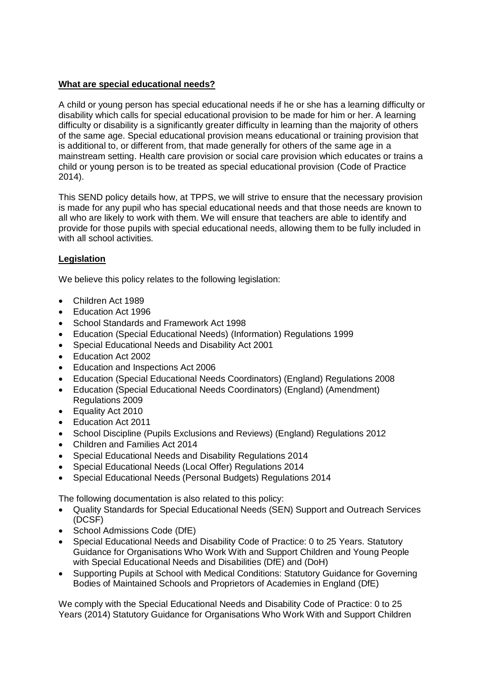## **What are special educational needs?**

A child or young person has special educational needs if he or she has a learning difficulty or disability which calls for special educational provision to be made for him or her. A learning difficulty or disability is a significantly greater difficulty in learning than the majority of others of the same age. Special educational provision means educational or training provision that is additional to, or different from, that made generally for others of the same age in a mainstream setting. Health care provision or social care provision which educates or trains a child or young person is to be treated as special educational provision (Code of Practice 2014).

This SEND policy details how, at TPPS, we will strive to ensure that the necessary provision is made for any pupil who has special educational needs and that those needs are known to all who are likely to work with them. We will ensure that teachers are able to identify and provide for those pupils with special educational needs, allowing them to be fully included in with all school activities.

# **Legislation**

We believe this policy relates to the following legislation:

- Children Act 1989
- Education Act 1996
- School Standards and Framework Act 1998
- Education (Special Educational Needs) (Information) Regulations 1999
- Special Educational Needs and Disability Act 2001
- Education Act 2002
- Education and Inspections Act 2006
- Education (Special Educational Needs Coordinators) (England) Regulations 2008
- Education (Special Educational Needs Coordinators) (England) (Amendment) Regulations 2009
- Equality Act 2010
- Education Act 2011
- School Discipline (Pupils Exclusions and Reviews) (England) Regulations 2012
- Children and Families Act 2014
- Special Educational Needs and Disability Regulations 2014
- Special Educational Needs (Local Offer) Regulations 2014
- Special Educational Needs (Personal Budgets) Regulations 2014

The following documentation is also related to this policy:

- Quality Standards for Special Educational Needs (SEN) Support and Outreach Services (DCSF)
- School Admissions Code (DfE)
- Special Educational Needs and Disability Code of Practice: 0 to 25 Years. Statutory Guidance for Organisations Who Work With and Support Children and Young People with Special Educational Needs and Disabilities (DfE) and (DoH)
- Supporting Pupils at School with Medical Conditions: Statutory Guidance for Governing Bodies of Maintained Schools and Proprietors of Academies in England (DfE)

We comply with the Special Educational Needs and Disability Code of Practice: 0 to 25 Years (2014) Statutory Guidance for Organisations Who Work With and Support Children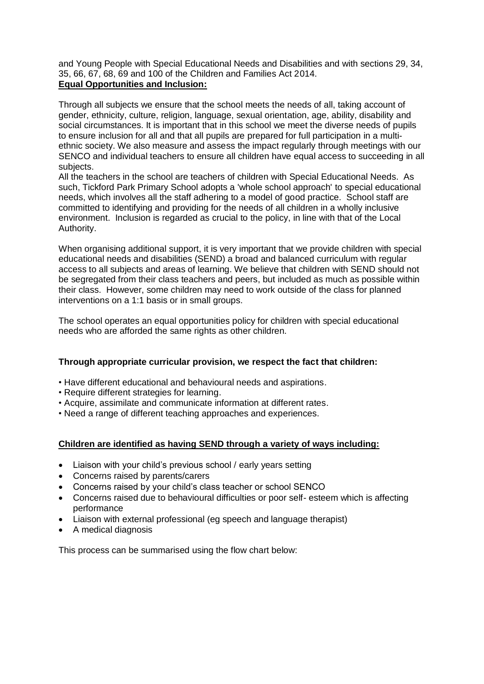and Young People with Special Educational Needs and Disabilities and with sections 29, 34, 35, 66, 67, 68, 69 and 100 of the Children and Families Act 2014. **Equal Opportunities and Inclusion:**

Through all subjects we ensure that the school meets the needs of all, taking account of gender, ethnicity, culture, religion, language, sexual orientation, age, ability, disability and social circumstances. It is important that in this school we meet the diverse needs of pupils to ensure inclusion for all and that all pupils are prepared for full participation in a multiethnic society. We also measure and assess the impact regularly through meetings with our SENCO and individual teachers to ensure all children have equal access to succeeding in all subjects.

All the teachers in the school are teachers of children with Special Educational Needs. As such, Tickford Park Primary School adopts a 'whole school approach' to special educational needs, which involves all the staff adhering to a model of good practice. School staff are committed to identifying and providing for the needs of all children in a wholly inclusive environment. Inclusion is regarded as crucial to the policy, in line with that of the Local Authority.

When organising additional support, it is very important that we provide children with special educational needs and disabilities (SEND) a broad and balanced curriculum with regular access to all subjects and areas of learning. We believe that children with SEND should not be segregated from their class teachers and peers, but included as much as possible within their class. However, some children may need to work outside of the class for planned interventions on a 1:1 basis or in small groups.

The school operates an equal opportunities policy for children with special educational needs who are afforded the same rights as other children.

## **Through appropriate curricular provision, we respect the fact that children:**

- Have different educational and behavioural needs and aspirations.
- Require different strategies for learning.
- Acquire, assimilate and communicate information at different rates.
- Need a range of different teaching approaches and experiences.

## **Children are identified as having SEND through a variety of ways including:**

- Liaison with your child's previous school / early years setting
- Concerns raised by parents/carers
- Concerns raised by your child's class teacher or school SENCO
- Concerns raised due to behavioural difficulties or poor self- esteem which is affecting performance
- Liaison with external professional (eg speech and language therapist)
- A medical diagnosis

This process can be summarised using the flow chart below: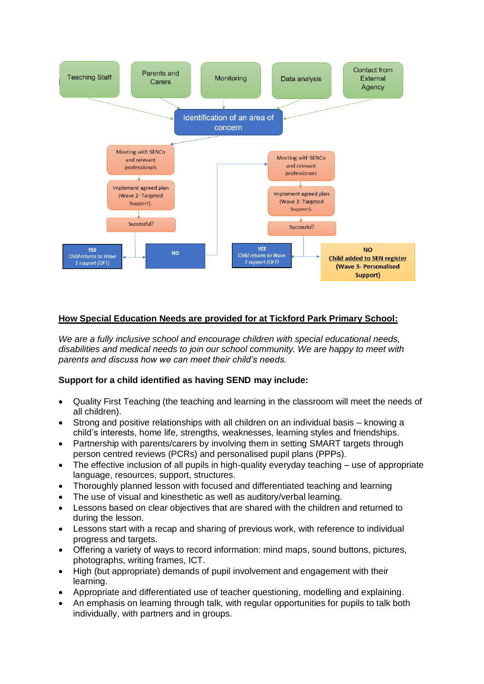

## **How Special Education Needs are provided for at Tickford Park Primary School:**

*We are a fully inclusive school and encourage children with special educational needs, disabilities and medical needs to join our school community. We are happy to meet with parents and discuss how we can meet their child's needs.*

## **Support for a child identified as having SEND may include:**

- Quality First Teaching (the teaching and learning in the classroom will meet the needs of all children).
- Strong and positive relationships with all children on an individual basis knowing a child's interests, home life, strengths, weaknesses, learning styles and friendships.
- Partnership with parents/carers by involving them in setting SMART targets through person centred reviews (PCRs) and personalised pupil plans (PPPs).
- The effective inclusion of all pupils in high-quality everyday teaching use of appropriate language, resources, support, structures.
- Thoroughly planned lesson with focused and differentiated teaching and learning
- The use of visual and kinesthetic as well as auditory/verbal learning.
- Lessons based on clear objectives that are shared with the children and returned to during the lesson.
- Lessons start with a recap and sharing of previous work, with reference to individual progress and targets.
- Offering a variety of ways to record information: mind maps, sound buttons, pictures, photographs, writing frames, ICT.
- High (but appropriate) demands of pupil involvement and engagement with their learning.
- Appropriate and differentiated use of teacher questioning, modelling and explaining.
- An emphasis on learning through talk, with regular opportunities for pupils to talk both individually, with partners and in groups.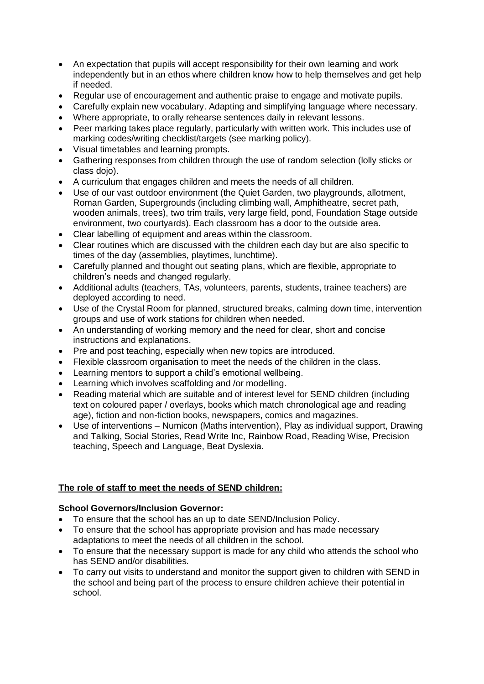- An expectation that pupils will accept responsibility for their own learning and work independently but in an ethos where children know how to help themselves and get help if needed.
- Regular use of encouragement and authentic praise to engage and motivate pupils.
- Carefully explain new vocabulary. Adapting and simplifying language where necessary.
- Where appropriate, to orally rehearse sentences daily in relevant lessons.
- Peer marking takes place regularly, particularly with written work. This includes use of marking codes/writing checklist/targets (see marking policy).
- Visual timetables and learning prompts.
- Gathering responses from children through the use of random selection (lolly sticks or class dojo).
- A curriculum that engages children and meets the needs of all children.
- Use of our vast outdoor environment (the Quiet Garden, two playgrounds, allotment, Roman Garden, Supergrounds (including climbing wall, Amphitheatre, secret path, wooden animals, trees), two trim trails, very large field, pond, Foundation Stage outside environment, two courtyards). Each classroom has a door to the outside area.
- Clear labelling of equipment and areas within the classroom.
- Clear routines which are discussed with the children each day but are also specific to times of the day (assemblies, playtimes, lunchtime).
- Carefully planned and thought out seating plans, which are flexible, appropriate to children's needs and changed regularly.
- Additional adults (teachers, TAs, volunteers, parents, students, trainee teachers) are deployed according to need.
- Use of the Crystal Room for planned, structured breaks, calming down time, intervention groups and use of work stations for children when needed.
- An understanding of working memory and the need for clear, short and concise instructions and explanations.
- Pre and post teaching, especially when new topics are introduced.
- Flexible classroom organisation to meet the needs of the children in the class.
- Learning mentors to support a child's emotional wellbeing.
- Learning which involves scaffolding and /or modelling.
- Reading material which are suitable and of interest level for SEND children (including text on coloured paper / overlays, books which match chronological age and reading age), fiction and non-fiction books, newspapers, comics and magazines.
- Use of interventions Numicon (Maths intervention), Play as individual support, Drawing and Talking, Social Stories, Read Write Inc, Rainbow Road, Reading Wise, Precision teaching, Speech and Language, Beat Dyslexia.

## **The role of staff to meet the needs of SEND children:**

## **School Governors/Inclusion Governor:**

- To ensure that the school has an up to date SEND/Inclusion Policy.
- To ensure that the school has appropriate provision and has made necessary adaptations to meet the needs of all children in the school.
- To ensure that the necessary support is made for any child who attends the school who has SEND and/or disabilities.
- To carry out visits to understand and monitor the support given to children with SEND in the school and being part of the process to ensure children achieve their potential in school.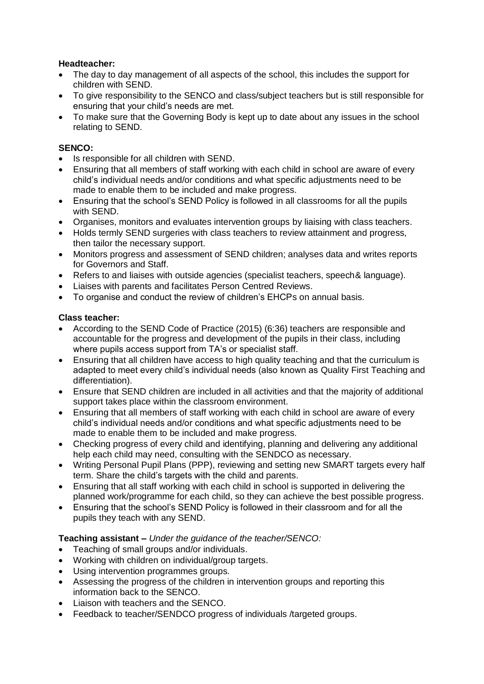### **Headteacher:**

- The day to day management of all aspects of the school, this includes the support for children with SEND.
- To give responsibility to the SENCO and class/subject teachers but is still responsible for ensuring that your child's needs are met.
- To make sure that the Governing Body is kept up to date about any issues in the school relating to SEND.

#### **SENCO:**

- Is responsible for all children with SEND.
- Ensuring that all members of staff working with each child in school are aware of every child's individual needs and/or conditions and what specific adjustments need to be made to enable them to be included and make progress.
- Ensuring that the school's SEND Policy is followed in all classrooms for all the pupils with SEND.
- Organises, monitors and evaluates intervention groups by liaising with class teachers.
- Holds termly SEND surgeries with class teachers to review attainment and progress, then tailor the necessary support.
- Monitors progress and assessment of SEND children; analyses data and writes reports for Governors and Staff.
- Refers to and liaises with outside agencies (specialist teachers, speech & language).
- Liaises with parents and facilitates Person Centred Reviews.
- To organise and conduct the review of children's EHCPs on annual basis.

#### **Class teacher:**

- According to the SEND Code of Practice (2015) (6:36) teachers are responsible and accountable for the progress and development of the pupils in their class, including where pupils access support from TA's or specialist staff.
- Ensuring that all children have access to high quality teaching and that the curriculum is adapted to meet every child's individual needs (also known as Quality First Teaching and differentiation).
- Ensure that SEND children are included in all activities and that the majority of additional support takes place within the classroom environment.
- Ensuring that all members of staff working with each child in school are aware of every child's individual needs and/or conditions and what specific adjustments need to be made to enable them to be included and make progress.
- Checking progress of every child and identifying, planning and delivering any additional help each child may need, consulting with the SENDCO as necessary.
- Writing Personal Pupil Plans (PPP), reviewing and setting new SMART targets every half term. Share the child's targets with the child and parents.
- Ensuring that all staff working with each child in school is supported in delivering the planned work/programme for each child, so they can achieve the best possible progress.
- Ensuring that the school's SEND Policy is followed in their classroom and for all the pupils they teach with any SEND.

#### **Teaching assistant –** *Under the guidance of the teacher/SENCO:*

- Teaching of small groups and/or individuals.
- Working with children on individual/group targets.
- Using intervention programmes groups.
- Assessing the progress of the children in intervention groups and reporting this information back to the SENCO.
- Liaison with teachers and the SENCO.
- Feedback to teacher/SENDCO progress of individuals /targeted groups.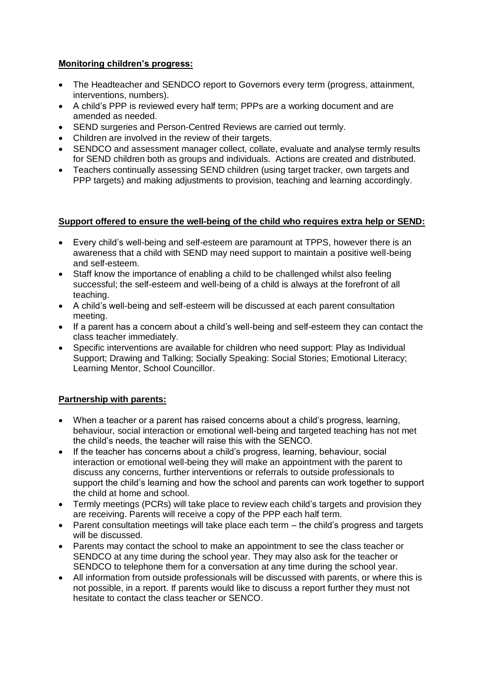#### **Monitoring children's progress:**

- The Headteacher and SENDCO report to Governors every term (progress, attainment, interventions, numbers).
- A child's PPP is reviewed every half term; PPPs are a working document and are amended as needed.
- SEND surgeries and Person-Centred Reviews are carried out termly.
- Children are involved in the review of their targets.
- SENDCO and assessment manager collect, collate, evaluate and analyse termly results for SEND children both as groups and individuals. Actions are created and distributed.
- Teachers continually assessing SEND children (using target tracker, own targets and PPP targets) and making adjustments to provision, teaching and learning accordingly.

#### **Support offered to ensure the well-being of the child who requires extra help or SEND:**

- Every child's well-being and self-esteem are paramount at TPPS, however there is an awareness that a child with SEND may need support to maintain a positive well-being and self-esteem.
- Staff know the importance of enabling a child to be challenged whilst also feeling successful; the self-esteem and well-being of a child is always at the forefront of all teaching.
- A child's well-being and self-esteem will be discussed at each parent consultation meeting.
- If a parent has a concern about a child's well-being and self-esteem they can contact the class teacher immediately.
- Specific interventions are available for children who need support: Play as Individual Support; Drawing and Talking; Socially Speaking: Social Stories; Emotional Literacy; Learning Mentor, School Councillor.

## **Partnership with parents:**

- When a teacher or a parent has raised concerns about a child's progress, learning, behaviour, social interaction or emotional well-being and targeted teaching has not met the child's needs, the teacher will raise this with the SENCO.
- If the teacher has concerns about a child's progress, learning, behaviour, social interaction or emotional well-being they will make an appointment with the parent to discuss any concerns, further interventions or referrals to outside professionals to support the child's learning and how the school and parents can work together to support the child at home and school.
- Termly meetings (PCRs) will take place to review each child's targets and provision they are receiving. Parents will receive a copy of the PPP each half term.
- Parent consultation meetings will take place each term the child's progress and targets will be discussed.
- Parents may contact the school to make an appointment to see the class teacher or SENDCO at any time during the school year. They may also ask for the teacher or SENDCO to telephone them for a conversation at any time during the school year.
- All information from outside professionals will be discussed with parents, or where this is not possible, in a report. If parents would like to discuss a report further they must not hesitate to contact the class teacher or SENCO.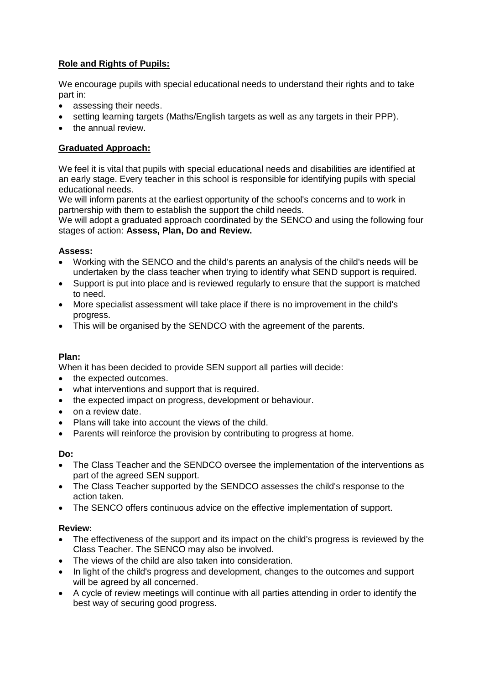## **Role and Rights of Pupils:**

We encourage pupils with special educational needs to understand their rights and to take part in:

- assessing their needs.
- setting learning targets (Maths/English targets as well as any targets in their PPP).
- the annual review.

# **Graduated Approach:**

We feel it is vital that pupils with special educational needs and disabilities are identified at an early stage. Every teacher in this school is responsible for identifying pupils with special educational needs.

We will inform parents at the earliest opportunity of the school's concerns and to work in partnership with them to establish the support the child needs.

We will adopt a graduated approach coordinated by the SENCO and using the following four stages of action: **Assess, Plan, Do and Review.** 

## **Assess:**

- Working with the SENCO and the child's parents an analysis of the child's needs will be undertaken by the class teacher when trying to identify what SEND support is required.
- Support is put into place and is reviewed regularly to ensure that the support is matched to need.
- More specialist assessment will take place if there is no improvement in the child's progress.
- This will be organised by the SENDCO with the agreement of the parents.

## **Plan:**

When it has been decided to provide SEN support all parties will decide:

- the expected outcomes.
- what interventions and support that is required.
- the expected impact on progress, development or behaviour.
- on a review date.
- Plans will take into account the views of the child.
- Parents will reinforce the provision by contributing to progress at home.

#### **Do:**

- The Class Teacher and the SENDCO oversee the implementation of the interventions as part of the agreed SEN support.
- The Class Teacher supported by the SENDCO assesses the child's response to the action taken.
- The SENCO offers continuous advice on the effective implementation of support.

#### **Review:**

- The effectiveness of the support and its impact on the child's progress is reviewed by the Class Teacher. The SENCO may also be involved.
- The views of the child are also taken into consideration.
- In light of the child's progress and development, changes to the outcomes and support will be agreed by all concerned.
- A cycle of review meetings will continue with all parties attending in order to identify the best way of securing good progress.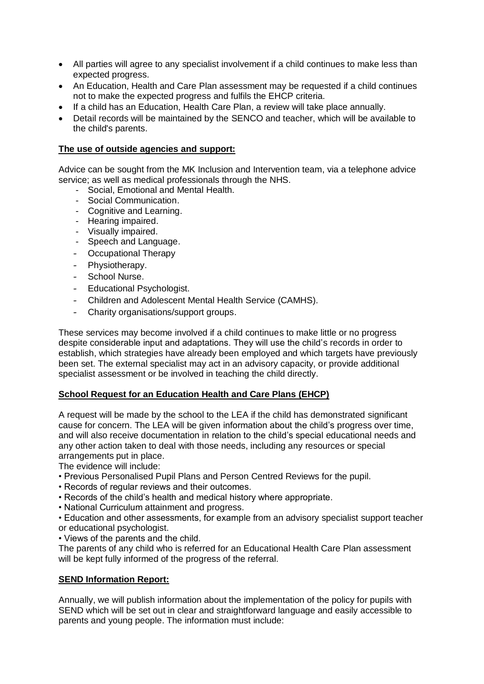- All parties will agree to any specialist involvement if a child continues to make less than expected progress.
- An Education, Health and Care Plan assessment may be requested if a child continues not to make the expected progress and fulfils the EHCP criteria.
- If a child has an Education, Health Care Plan, a review will take place annually.
- Detail records will be maintained by the SENCO and teacher, which will be available to the child's parents.

#### **The use of outside agencies and support:**

Advice can be sought from the MK Inclusion and Intervention team, via a telephone advice service; as well as medical professionals through the NHS.

- Social, Emotional and Mental Health.
- Social Communication.
- Cognitive and Learning.
- Hearing impaired.
- Visually impaired.
- Speech and Language.
- Occupational Therapy
- Physiotherapy.
- School Nurse.
- Educational Psychologist.
- Children and Adolescent Mental Health Service (CAMHS).
- Charity organisations/support groups.

These services may become involved if a child continues to make little or no progress despite considerable input and adaptations. They will use the child's records in order to establish, which strategies have already been employed and which targets have previously been set. The external specialist may act in an advisory capacity, or provide additional specialist assessment or be involved in teaching the child directly.

#### **School Request for an Education Health and Care Plans (EHCP)**

A request will be made by the school to the LEA if the child has demonstrated significant cause for concern. The LEA will be given information about the child's progress over time, and will also receive documentation in relation to the child's special educational needs and any other action taken to deal with those needs, including any resources or special arrangements put in place.

The evidence will include:

- Previous Personalised Pupil Plans and Person Centred Reviews for the pupil.
- Records of regular reviews and their outcomes.
- Records of the child's health and medical history where appropriate.
- National Curriculum attainment and progress.

• Education and other assessments, for example from an advisory specialist support teacher or educational psychologist.

• Views of the parents and the child.

The parents of any child who is referred for an Educational Health Care Plan assessment will be kept fully informed of the progress of the referral.

#### **SEND Information Report:**

Annually, we will publish information about the implementation of the policy for pupils with SEND which will be set out in clear and straightforward language and easily accessible to parents and young people. The information must include: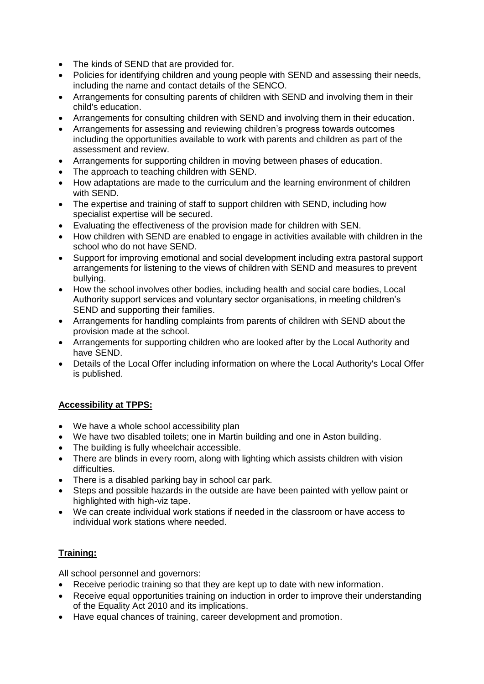- The kinds of SEND that are provided for.
- Policies for identifying children and young people with SEND and assessing their needs, including the name and contact details of the SENCO.
- Arrangements for consulting parents of children with SEND and involving them in their child's education.
- Arrangements for consulting children with SEND and involving them in their education.
- Arrangements for assessing and reviewing children's progress towards outcomes including the opportunities available to work with parents and children as part of the assessment and review.
- Arrangements for supporting children in moving between phases of education.
- The approach to teaching children with SEND.
- How adaptations are made to the curriculum and the learning environment of children with SEND.
- The expertise and training of staff to support children with SEND, including how specialist expertise will be secured.
- Evaluating the effectiveness of the provision made for children with SEN.
- How children with SEND are enabled to engage in activities available with children in the school who do not have SEND.
- Support for improving emotional and social development including extra pastoral support arrangements for listening to the views of children with SEND and measures to prevent bullying.
- How the school involves other bodies, including health and social care bodies, Local Authority support services and voluntary sector organisations, in meeting children's SEND and supporting their families.
- Arrangements for handling complaints from parents of children with SEND about the provision made at the school.
- Arrangements for supporting children who are looked after by the Local Authority and have SEND.
- Details of the Local Offer including information on where the Local Authority's Local Offer is published.

## **Accessibility at TPPS:**

- We have a whole school accessibility plan
- We have two disabled toilets; one in Martin building and one in Aston building.
- The building is fully wheelchair accessible.
- There are blinds in every room, along with lighting which assists children with vision difficulties.
- There is a disabled parking bay in school car park.
- Steps and possible hazards in the outside are have been painted with yellow paint or highlighted with high-viz tape.
- We can create individual work stations if needed in the classroom or have access to individual work stations where needed.

## **Training:**

All school personnel and governors:

- Receive periodic training so that they are kept up to date with new information.
- Receive equal opportunities training on induction in order to improve their understanding of the Equality Act 2010 and its implications.
- Have equal chances of training, career development and promotion.